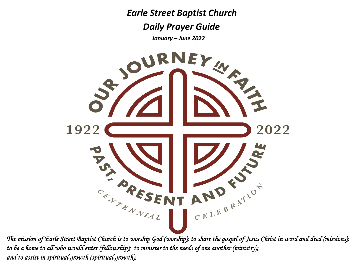*Earle Street Baptist Church*

 *Daily Prayer Guide*

*January – June 2022*



*The mission of Earle Street Baptist Church is to worship God (worship); to share the gospel of Jesus Christ in word and deed (missions); to be a home to all who would enter (fellowship); to minister to the needs of one another (ministry); and to assist in spiritual growth (spiritual growth).*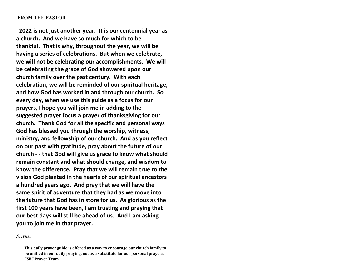### **FROM THE PASTOR**

**2022 is not just another year. It is our centennial year as a church. And we have so much for which to be thankful. That is why, throughout the year, we will be having <sup>a</sup> series of celebrations. But when we celebrate, we will not be celebrating our accomplishments. We will be celebrating the grace of God showered upon our church family over the past century. With each celebration, we will be reminded of our spiritual heritage, and how God has worked in and through our church. So every day, when we use this guide as <sup>a</sup> focus for our prayers, I hope you will join me in adding to the suggested prayer focus <sup>a</sup> prayer of thanksgiving for our church. Thank God for all the specific and personal ways God has blessed you through the worship, witness, ministry, and fellowship of our church. And as you reflect on our past with gratitude, pray about the future of our church ‐ ‐ that God will give us grace to know what should remain constant and what should change, and wisdom to know the difference. Pray that we will remain true to the vision God planted in the hearts of our spiritual ancestors a hundred years ago. And pray that we will have the same spirit of adventure that they had as we move into the future that God has in store for us. As glorious as the first 100 years have been, I am trusting and praying that our best days will still be ahead of us. And I am asking you to join me in that prayer.**

### *Stephen*

**This daily prayer guide is offered as <sup>a</sup> way to encourage our church family to be unified in our daily praying, not as <sup>a</sup> substitute for our personal prayers. ESBC Prayer Team**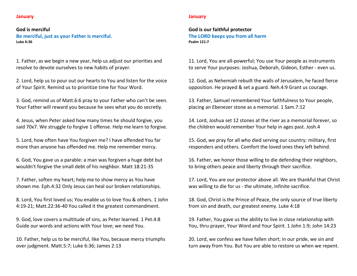## **January**

## **God is merciful Be merciful, just as your Father is merciful. Luke 6:36**

1. Father, as we begin <sup>a</sup> new year, help us adjust our priorities and resolve to devote ourselves to new habits of prayer.

2. Lord, help us to pour out our hearts to You and listen for the voice of Your Spirit. Remind us to prioritize time for Your Word.

3. God, remind us of Matt.6:6 pray to your Father who can't be seen. Your Father will reward you because he sees what you do secretly.

4. Jesus, when Peter asked how many times he should forgive, you said 70x7. We struggle to forgive 1 offense. Help me learn to forgive.

5. Lord, how often have You forgiven me? I have offended You far more than anyone has offended me. Help me remember mercy.

6. God, You gave us <sup>a</sup> parable: <sup>a</sup> man was forgiven <sup>a</sup> huge debt but wouldn't forgive the small debt of his neighbor. Matt 18:21‐35

7. Father, soften my heart; help me to show mercy as You have shown me. Eph.4:32 Only Jesus can heal our broken relationships.

8. Lord, You first loved us; You enable us to love You & others. 1 John 4:19‐21; Matt.22:36‐40 You called it the greatest commandment.

9. God, love covers <sup>a</sup> multitude of sins, as Peter learned. 1 Pet.4:8 Guide our words and actions with Your love; we need You.

10. Father, help us to be merciful, like You, because mercy triumphs over judgment. Matt.5:7; Luke 6:36; James 2:13

#### **January**

**God is our faithful protector The LORD keeps you from all harm Psalm 121:7**

11. Lord, You are all‐powerful; You use Your people as instruments to serve Your purposes: Joshua, Deborah, Gideon, Esther ‐ even us.

12. God, as Nehemiah rebuilt the walls of Jerusalem, he faced fierce opposition. He prayed & set <sup>a</sup> guard. Neh.4:9 Grant us courage.

13. Father, Samuel remembered Your faithfulness to Your people, placing an Ebenezer stone as <sup>a</sup> memorial. 1 Sam.7:12

14. Lord, Joshua set 12 stones at the river as <sup>a</sup> memorial forever, so the children would remember Your help in ages past. Josh.4

15. God, we pray for all who died serving our country: military, first responders and others. Comfort the loved ones they left behind.

16. Father, we honor those willing to die defending their neighbors, to bring others peace and liberty through their sacrifice.

17. Lord, You are our protector above all. We are thankful that Christ was willing to die for us ‐ the ultimate, infinite sacrifice.

18. God, Christ is the Prince of Peace, the only source of true liberty from sin and death, our greatest enemy. Luke 4:18

19. Father, You gave us the ability to live in close relationship with You, thru prayer, Your Word and Your Spirit. 1 John 1:9; John 14:23

20. Lord, we confess we have fallen short; in our pride, we sin and turn away from You. But You are able to restore us when we repent.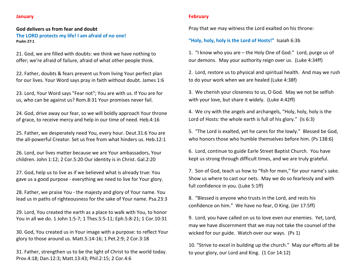## **January**

**Psalm 27:1**

# **God delivers us from fear and doubt The LORD protects my life! I am afraid of no one!**

21. God, we are filled with doubts: we think we have nothing to offer; we're afraid of failure, afraid of what other people think.

22. Father, doubts & fears prevent us from living Your perfect plan for our lives. Your Word says pray in faith without doubt. James 1:6

23. Lord, Your Word says "Fear not"; You are with us. If You are for us, who can be against us? Rom.8:31 Your promises never fail.

24. God, drive away our fear, so we will boldly approach Your throne of grace, to receive mercy and help in our time of need. Heb.4:16

25. Father, we desperately need You, every hour. Deut.31:6 You are the all‐powerful Creator. Set us free from what hinders us. Heb.12:1

26. Lord, our lives matter because we are Your ambassadors, Your children. John 1:12; 2 Cor.5:20 Our identity is in Christ. Gal.2:20

27. God, help us to live as if we believed what is already true: You gave us <sup>a</sup> good purpose ‐ everything we need to live for Your glory.

28. Father, we praise You ‐ the majesty and glory of Your name. You lead us in paths of righteousness for the sake of Your name. Psa.23:3

29. Lord, You created the earth as <sup>a</sup> place to walk with You, to honor You in all we do. 1 John 1:5‐7; 1 Thes.5:5‐11; Eph.5:8‐21; 1 Cor.10:31

30. God, You created us in Your image with <sup>a</sup> purpose: to reflect Your glory to those around us. Matt.5:14‐16; 1 Pet.2:9; 2 Cor.3:18

31. Father, strengthen us to be the light of Christ to the world today. Prov.4:18; Dan.12:3; Matt.13:43; Phil.2:15; 2 Cor.4:6

## **February**

Pray that we may witness the Lord exalted on his throne:

# **"Holy, holy, holy is the Lord of Hosts!"** Isaiah 6:3b

1. "I know who you are – the Holy One of God." Lord, purge us of our demons. May your authority reign over us. (Luke 4:34ff)

2. Lord, restore us to physical and spiritual health. And may we rush to do your work when we are healed (Luke 4:38f)

3. We cherish your closeness to us, O God. May we not be selfish with your love, but share it widely. (Luke 4:42ff)

4. We cry with the angels and archangels, "Holy, holy, holy is the Lord of Hosts: the whole earth is full of his glory." (Is 6:3)

5. "The Lord is exalted, yet he cares for the lowly." Blessed be God, who honors those who humble themselves before him. (Ps 138:6)

6. Lord, continue to guide Earle Street Baptist Church. You have kept us strong through difficult times, and we are truly grateful.

7. Son of God, teach us how to "fish for men," for your name's sake. Show us where to cast our nets. May we do so fearlessly and with full confidence in you. (Luke 5:1ff)

8. "Blessed is anyone who trusts in the Lord, and rests his confidence on him." We have no fear, O King. (Jer 17:5ff)

9. Lord, you have called on us to love even our enemies. Yet, Lord, may we have discernment that we may not take the counsel of the wicked for our guide. Watch over our ways. (Ps 1)

10. "Strive to excel in building up the church." May our efforts all be to your glory, our Lord and King. (1 Cor 14:12)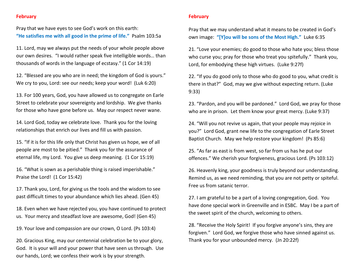## **February**

Pray that we have eyes to see God's work on this earth: **"He satisfies me with all good in the prime of life."** Psalm 103:5a

11. Lord, may we always put the needs of your whole people above our own desires. "I would rather speak five intelligible words… than thousands of words in the language of ecstasy." (1 Cor 14:19)

12. "Blessed are you who are in need; the kingdom of God is yours." We cry to you, Lord: see our needs; keep your word! (Luk 6:20)

13. For 100 years, God, you have allowed us to congregate on Earle Street to celebrate your sovereignty and lordship. We give thanks for those who have gone before us. May our respect never wane.

14. Lord God, today we celebrate love. Thank you for the loving relationships that enrich our lives and fill us with passion.

15. "If it is for this life only that Christ has given us hope, we of all people are most to be pitied." Thank you for the assurance of eternal life, my Lord. You give us deep meaning. (1 Cor 15:19)

16. "What is sown as <sup>a</sup> perishable thing is raised imperishable." Praise the Lord! (1 Cor 15:42)

17. Thank you, Lord, for giving us the tools and the wisdom to see past difficult times to your abundance which lies ahead. (Gen 45)

18. Even when we have rejected you, you have continued to protect us. Your mercy and steadfast love are awesome, God! (Gen 45)

19. Your love and compassion are our crown, O Lord. (Ps 103:4)

20. Gracious King, may our centennial celebration be to your glory, God. It is your will and your power that have seen us through. Use our hands, Lord; we confess their work is by your strength.

## **February**

Pray that we may understand what it means to be created in God's own image: **"[Y]ou will be sons of the Most High."** Luke 6:35

21. "Love your enemies; do good to those who hate you; bless those who curse you; pray for those who treat you spitefully." Thank you, Lord, for embodying these high virtues. (Luke 9:27f)

22. "If you do good only to those who do good to you, what credit is there in that?" God, may we give without expecting return. (Luke 9:33)

23. "Pardon, and you will be pardoned." Lord God, we pray for those who are in prison. Let them know your great mercy. (Luke 9:37)

24. "Will you not revive us again, that your people may rejoice in you?" Lord God, grant new life to the congregation of Earle Street Baptist Church. May we help restore your kingdom! (Ps 85:6)

25. "As far as east is from west, so far from us has he put our offences." We cherish your forgiveness, gracious Lord. (Ps 103:12)

26. Heavenly king, your goodness is truly beyond our understanding. Remind us, as we need reminding, that you are not petty or spiteful. Free us from satanic terror.

27. I am grateful to be <sup>a</sup> part of <sup>a</sup> loving congregation, God. You have done special work in Greenville and in ESBC. May I be <sup>a</sup> part of the sweet spirit of the church, welcoming to others.

28. "Receive the Holy Spirit! If you forgive anyone's sins, they are forgiven." Lord God, we forgive those who have sinned against us. Thank you for your unbounded mercy. (Jn 20:22f)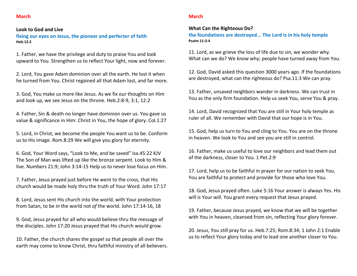## **March**

#### **Look to God and Live**

**fixing our eyes on Jesus, the pioneer and perfecter of faith Heb.12:2**

1. Father, we have the privilege and duty to praise You and look upward to You. Strengthen us to reflect Your light, now and forever.

2. Lord, You gave Adam dominion over all the earth. He lost it when he turned from You. Christ regained all that Adam lost, and far more.

3. God, You make us more like Jesus. As we fix our thoughts on Him and look up, we see Jesus on the throne. Heb.2:8‐9, 3:1, 12:2

4. Father, Sin & death no longer have dominion over us. You gave us value & significance in Him: Christ in You, the hope of glory. Col.1:27

5. Lord, in Christ, we become the people You want us to be. Conform us to His image. Rom.8:29 We will give you glory for eternity.

6. God, Your Word says, "Look to Me, and be saved" Isa.45:22 KJV The Son of Man was lifted up like the bronze serpent. Look to Him & live. Numbers 21:9; John 3:14‐15 Help us to never lose focus on Him.

7. Father, Jesus prayed just before He went to the cross, that His church would be made holy thru the truth of Your Word. John 17:17

8. Lord, Jesus sent His church into the world, with Your protection from Satan, to be *in* the world not *of* the world. John 17:14‐16, 18

9. God, Jesus prayed for all who would believe thru the message of the disciples. John 17:20 Jesus prayed that His church would grow.

10. Father, the church shares the gospel so that people all over the earth may come to know Christ, thru faithful ministry of all believers.

#### **March**

#### **What Can the Righteous Do?**

**the foundations are destroyed... The Lord is in his holy temple Psalm 11:3‐4**

11. Lord, as we grieve the loss of life due to sin, we wonder why. What can we do? We *know* why; people have turned away from You.

12. God, David asked this question 3000 years ago. If the foundations are destroyed, what can the righteous do? Psa.11:3 We can pray.

13. Father, unsaved neighbors wander in darkness. We can trust in You as the only firm foundation. Help us seek You, serve You & pray.

14. Lord, David recognized that You are still in Your holy temple as ruler of all. We remember with David that our hope is in You.

15. God, help us turn to You and cling to You. You are on the throne in heaven. We look to You and see you are still in control.

16. Father, make us useful to love our neighbors and lead them out of the darkness, closer to You. 1 Pet.2:9

17. Lord, help us to be faithful in prayer for our nation to seek You. You are faithful to protect and provide for those who love You.

18. God, Jesus prayed often. Luke 5:16 Your answer is always Yes. His will is Your will. You grant every request that Jesus prayed.

19. Father, because Jesus prayed, we know that we will be together with You in heaven, cleansed from sin, reflecting Your glory forever.

20. Jesus, You *still* pray for us. Heb.7:25; Rom.8:34; 1 John 2:1 Enable us to reflect Your glory today and to lead one another closer to You.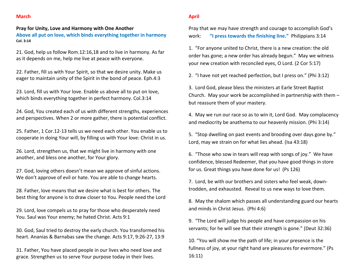## **March**

## **Pray for Unity, Love and Harmony with One Another**

**Above all put on love, which binds everything together in harmony Col. 3:14**

21. God, help us follow Rom.12:16,18 and to live in harmony. As far as it depends on me, help me live at peace with everyone.

22. Father, fill us with Your Spirit, so that we desire unity. Make us eager to maintain unity of the Spirit in the bond of peace. Eph.4:3

23. Lord, fill us with Your love. Enable us above all to put on love, which binds everything together in perfect harmony. Col.3:14

24. God, You created each of us with different strengths, experiences and perspectives. When 2 or more gather, there is potential conflict.

25. Father, 1 Cor.12‐13 tells us we need each other. You enable us to cooperate in doing Your will, by filling us with Your love: Christ in us.

26. Lord, strengthen us, that we might live in harmony with one another, and bless one another, for Your glory.

27. God, loving others doesn't mean we approve of sinful actions. We don't approve of evil or hate. You are able to change hearts.

28. Father, love means that we desire what is best for others. The best thing for anyone is to draw closer to You. People need the Lord

29. Lord, love compels us to pray for those who desperately need You. Saul was Your enemy; he hated Christ. Acts 9:1

30. God, Saul tried to destroy the early church. You transformed his heart. Ananias & Barnabas saw the change. Acts 9:17, 9:26‐27, 13:9

31. Father, You have placed people in our lives who need love and grace. Strengthen us to serve Your purpose today in their lives.

### **April**

Pray that we may have strength and courage to accomplish God's work:**"I press towards the finishing line."** Philippians 3:14

1. "For anyone united to Christ, there is <sup>a</sup> new creation: the old order has gone; <sup>a</sup> new order has already begun." May we witness your new creation with reconciled eyes, O Lord. (2 Cor 5:17)

2. "I have not yet reached perfection, but I press on." (Phi 3:12)

3. Lord God, please bless the ministers at Earle Street Baptist Church. May your work be accomplished in partnership with them – but reassure them of your mastery.

4. May we run our race so as to win it, Lord God. May complacency and mediocrity be anathema to our heavenly mission. (Phi 3:14)

5. "Stop dwelling on past events and brooding over days gone by." Lord, may we strain on for what lies ahead. (Isa 43:18)

6. "Those who sow in tears will reap with songs of joy." We have confidence, blessed Redeemer, that you have good things in store for us. Great things you have done for us! (Ps 126)

7. Lord, be with our brothers and sisters who feel weak, down‐ trodden, and exhausted. Reveal to us new ways to love them.

8. May the shalom which passes all understanding guard our hearts and minds in Christ Jesus. (Phi 4:6)

9. "The Lord will judge his people and have compassion on his servants; for he will see that their strength is gone." (Deut 32:36)

10. "You will show me the path of life; in your presence is the fullness of joy, at your right hand are pleasures for evermore." (Ps 16:11)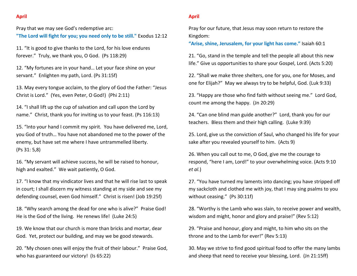# **April**

Pray that we may see God's redemptive arc: **"The Lord will fight for you; you need only to be still."** Exodus 12:12

11. "It is good to give thanks to the Lord, for his love endures forever." Truly, we thank you, O God. (Ps 118:29)

12. "My fortunes are in your hand… Let your face shine on your servant." Enlighten my path, Lord. (Ps 31:15f)

13. May every tongue acclaim, to the glory of God the Father: "Jesus Christ is Lord." (Yes, even Peter, O God!) (Phi 2:11)

14. "I shall lift up the cup of salvation and call upon the Lord by name." Christ, thank you for inviting us to your feast. (Ps 116:13)

15. "Into your hand I commit my spirit. You have delivered me, Lord, you God of truth… You have not abandoned me to the power of the enemy, but have set me where I have untrammelled liberty. (Ps 31: 5,8)

16. "My servant will achieve success, he will be raised to honour, high and exalted." We wait patiently, O God.

17. "I know that my vindicator lives and that he will rise last to speak in court; I shall discern my witness standing at my side and see my defending counsel, even God himself." Christ is risen! (Job 19:25f)

18. "Why search among the dead for one who is alive?" Praise God! He is the God of the living. He renews life! (Luke 24:5)

19. We know that our church is more than bricks and mortar, dear God. Yet, protect our building, and may we be good stewards.

20. "My chosen ones will enjoy the fruit of their labour." Praise God, who has guaranteed our victory! (Is 65:22)

## **April**

Pray for our future, that Jesus may soon return to restore the Kingdom:

**"Arise, shine, Jerusalem, for your light has come."** Isaiah 60:1

21. "Go, stand in the temple and tell the people all about this new life." Give us opportunities to share your Gospel, Lord. (Acts 5:20)

22. "Shall we make three shelters, one for you, one for Moses, and one for Elijah?" May we always try to be helpful, God. (Luk 9:33)

23. "Happy are those who find faith without seeing me." Lord God, count me among the happy. (Jn 20:29)

24. "Can one blind man guide another?" Lord, thank you for our teachers. Bless them and their high calling. (Luke 9:39)

25. Lord, give us the conviction of Saul, who changed his life for your sake after you revealed yourself to him. (Acts 9)

26. When you call out to me, O God, give me the courage to respond, "here I am, Lord!" to your overwhelming voice. (Acts 9:10 *et al.*)

27. "You have turned my laments into dancing; you have stripped off my sackcloth and clothed me with joy, that I may sing psalms to you without ceasing." (Ps 30:11f)

28. "Worthy is the Lamb who was slain, to receive power and wealth, wisdom and might, honor and glory and praise!" (Rev 5:12)

29. "Praise and honour, glory and might, to him who sits on the throne and to the Lamb for ever!" (Rev 5:13)

30. May we strive to find good spiritual food to offer the many lambs and sheep that need to receive your blessing, Lord. (Jn 21:15ff)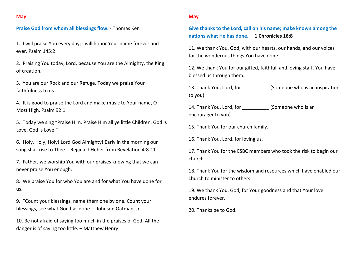## **Praise God from whom all blessings flow.** ‐ Thomas Ken

1. I will praise You every day; I will honor Your name forever and ever. Psalm 145:2

2. Praising You today, Lord, because You are the Almighty, the King of creation.

3. You are our Rock and our Refuge. Today we praise Your faithfulness to us.

4. It is good to praise the Lord and make music to Your name, O Most High. Psalm 92:1

5. Today we sing "Praise Him. Praise Him all ye little Children. God is Love. God is Love."

6. Holy, Holy, Holy! Lord God Almighty! Early in the morning our song shall rise to Thee. ‐ Reginald Heber from Revelation 4:8‐11

7. Father, we worship You with our praises knowing that we can never praise You enough.

8. We praise You for who You are and for what You have done for us.

9. "Count your blessings, name them one by one. Count your blessings, see what God has done. – Johnson Oatman, Jr.

10. Be not afraid of saying too much in the praises of God. All the danger is of saying too little. – Matthew Henry

### **May**

**Give thanks to the Lord, call on his name; make known among the nations what He has done. 1 Chronicles 16:8**

11. We thank You, God, with our hearts, our hands, and our voices for the wonderous things You have done.

12. We thank You for our gifted, faithful, and loving staff. You have blessed us through them.

13. Thank You, Lord, for \_\_\_\_\_\_\_\_\_\_ (Someone who is an inspiration to you)

14. Thank You, Lord, for \_\_\_\_\_\_\_\_\_\_ (Someone who is an encourager to you)

15. Thank You for our church family.

16. Thank You, Lord, for loving us.

17. Thank You for the ESBC members who took the risk to begin our church.

18. Thank You for the wisdom and resources which have enabled our church to minister to others.

19. We thank You, God, for Your goodness and that Your love endures forever.

20. Thanks be to God.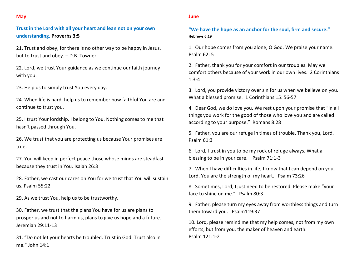## **May**

**Trust in the Lord with all your heart and lean not on your own understanding. Proverbs 3:5**

21. Trust and obey, for there is no other way to be happy in Jesus, but to trust and obey. – D.B. Towner

22. Lord, we trust Your guidance as we continue our faith journey with you.

23. Help us to simply trust You every day.

24. When life is hard, help us to remember how faithful You are and continue to trust you.

25. I trust Your lordship. I belong to You. Nothing comes to me that hasn't passed through You.

26. We trust that you are protecting us because Your promises are true.

27. You will keep in perfect peace those whose minds are steadfast because they trust in You. Isaiah 26:3

28. Father, we cast our cares on You for we trust that You will sustain us. Psalm 55:22

29. As we trust You, help us to be trustworthy.

30. Father, we trust that the plans You have for us are plans to prosper us and not to harm us, plans to give us hope and <sup>a</sup> future. Jeremiah 29:11‐13

31. "Do not let your hearts be troubled. Trust in God. Trust also in me." John 14:1

#### **June**

**"We have the hope as an anchor for the soul, firm and secure." Hebrews 6:19**

1. Our hope comes from you alone, O God. We praise your name. Psalm 62: 5

2. Father, thank you for your comfort in our troubles. May we comfort others because of your work in our own lives. 2 Corinthians 1:3‐4

3. Lord, you provide victory over sin for us when we believe on you. What a blessed promise. 1 Corinthians 15: 56‐57

4. Dear God, we do love you. We rest upon your promise that "in all things you work for the good of those who love you and are called according to your purpose." Romans 8:28

5. Father, you are our refuge in times of trouble. Thank you, Lord. Psalm 61:3

6. Lord, I trust in you to be my rock of refuge always. What <sup>a</sup> blessing to be in your care. Psalm 71:1‐3

7. When I have difficulties in life, I know that I can depend on you, Lord. You are the strength of my heart. Psalm 73:26

8. Sometimes, Lord, I just need to be restored. Please make "your face to shine on me." Psalm 80:3

9. Father, please turn my eyes away from worthless things and turn them toward you. Psalm119:37

10. Lord, please remind me that my help comes, not from my own efforts, but from you, the maker of heaven and earth. Psalm 121:1‐2